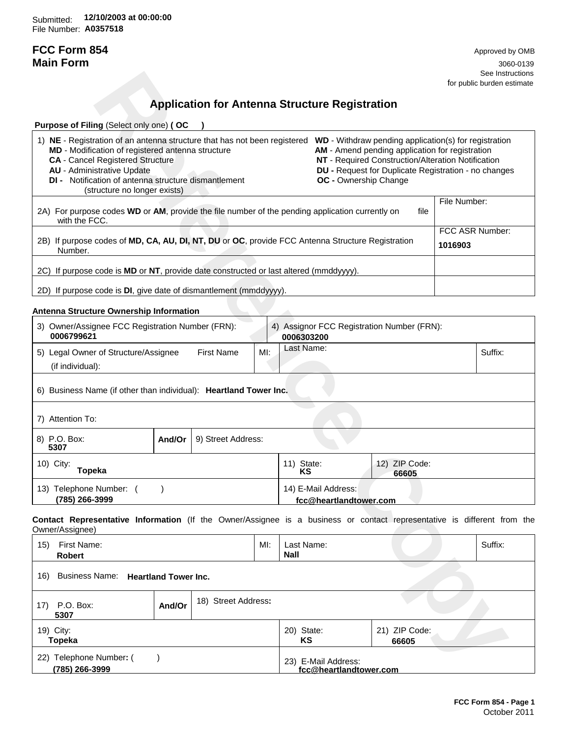Submitted: **12/10/2003 at 00:00:00**File Number: **A0357518**

# **FCC Form 854** Approved by OMB

**Main Form** 3060-0139 See Instructions for public burden estimate

# **Application for Antenna Structure Registration**

| <b>Purpose of Filing (Select only one) (OC</b>                                                                                                                                                                                                                                                                                                                                                                                                                                                                                                                                           |                            |              |  |  |
|------------------------------------------------------------------------------------------------------------------------------------------------------------------------------------------------------------------------------------------------------------------------------------------------------------------------------------------------------------------------------------------------------------------------------------------------------------------------------------------------------------------------------------------------------------------------------------------|----------------------------|--------------|--|--|
| NE - Registration of an antenna structure that has not been registered<br><b>WD</b> - Withdraw pending application(s) for registration<br>1)<br>MD - Modification of registered antenna structure<br>AM - Amend pending application for registration<br>NT - Required Construction/Alteration Notification<br><b>CA</b> - Cancel Registered Structure<br><b>AU</b> - Administrative Update<br><b>DU</b> - Request for Duplicate Registration - no changes<br><b>DI</b> - Notification of antenna structure dismantlement<br><b>OC</b> - Ownership Change<br>(structure no longer exists) |                            |              |  |  |
| 2A) For purpose codes WD or AM, provide the file number of the pending application currently on<br>with the FCC.                                                                                                                                                                                                                                                                                                                                                                                                                                                                         | file                       | File Number: |  |  |
| 2B) If purpose codes of MD, CA, AU, DI, NT, DU or OC, provide FCC Antenna Structure Registration<br>Number.                                                                                                                                                                                                                                                                                                                                                                                                                                                                              | FCC ASR Number:<br>1016903 |              |  |  |
| 2C) If purpose code is <b>MD</b> or <b>NT</b> , provide date constructed or last altered (mmddyyyy).                                                                                                                                                                                                                                                                                                                                                                                                                                                                                     |                            |              |  |  |
| 2D) If purpose code is <b>DI</b> , give date of dismantlement (mmddyyyy).                                                                                                                                                                                                                                                                                                                                                                                                                                                                                                                |                            |              |  |  |

## **Antenna Structure Ownership Information**

|                                                                                                                                                                                                                                                                                                                                                                                                                |        |                                                       |     |                           |                                               |                                                                                                                                                               |                            | See Instructions<br>for public burden estimate |
|----------------------------------------------------------------------------------------------------------------------------------------------------------------------------------------------------------------------------------------------------------------------------------------------------------------------------------------------------------------------------------------------------------------|--------|-------------------------------------------------------|-----|---------------------------|-----------------------------------------------|---------------------------------------------------------------------------------------------------------------------------------------------------------------|----------------------------|------------------------------------------------|
|                                                                                                                                                                                                                                                                                                                                                                                                                |        | <b>Application for Antenna Structure Registration</b> |     |                           |                                               |                                                                                                                                                               |                            |                                                |
|                                                                                                                                                                                                                                                                                                                                                                                                                |        |                                                       |     |                           |                                               |                                                                                                                                                               |                            |                                                |
| Purpose of Filing (Select only one) (OC<br>1) NE - Registration of an antenna structure that has not been registered WD - Withdraw pending application(s) for registration<br>MD - Modification of registered antenna structure<br><b>CA</b> - Cancel Registered Structure<br><b>AU</b> - Administrative Update<br><b>DI</b> - Notification of antenna structure dismantlement<br>(structure no longer exists) |        |                                                       |     |                           | <b>OC</b> - Ownership Change                  | AM - Amend pending application for registration<br>NT - Required Construction/Alteration Notification<br>DU - Request for Duplicate Registration - no changes |                            |                                                |
| 2A) For purpose codes WD or AM, provide the file number of the pending application currently on<br>with the FCC.                                                                                                                                                                                                                                                                                               |        |                                                       |     |                           |                                               | file                                                                                                                                                          | File Number:               |                                                |
| 2B) If purpose codes of MD, CA, AU, DI, NT, DU or OC, provide FCC Antenna Structure Registration<br>Number.                                                                                                                                                                                                                                                                                                    |        |                                                       |     |                           |                                               |                                                                                                                                                               | FCC ASR Number:<br>1016903 |                                                |
| 2C) If purpose code is MD or NT, provide date constructed or last altered (mmddyyyy).                                                                                                                                                                                                                                                                                                                          |        |                                                       |     |                           |                                               |                                                                                                                                                               |                            |                                                |
| 2D) If purpose code is DI, give date of dismantlement (mmddyyyy).                                                                                                                                                                                                                                                                                                                                              |        |                                                       |     |                           |                                               |                                                                                                                                                               |                            |                                                |
| Antenna Structure Ownership Information                                                                                                                                                                                                                                                                                                                                                                        |        |                                                       |     |                           |                                               |                                                                                                                                                               |                            |                                                |
| 3) Owner/Assignee FCC Registration Number (FRN):<br>0006799621                                                                                                                                                                                                                                                                                                                                                 |        |                                                       |     | 0006303200                |                                               | 4) Assignor FCC Registration Number (FRN):                                                                                                                    |                            |                                                |
| 5) Legal Owner of Structure/Assignee<br>(if individual):                                                                                                                                                                                                                                                                                                                                                       |        | <b>First Name</b>                                     | MI: | Last Name:                |                                               |                                                                                                                                                               |                            | Suffix:                                        |
| 6) Business Name (if other than individual): Heartland Tower Inc.                                                                                                                                                                                                                                                                                                                                              |        |                                                       |     |                           |                                               |                                                                                                                                                               |                            |                                                |
| 7) Attention To:                                                                                                                                                                                                                                                                                                                                                                                               |        |                                                       |     |                           |                                               |                                                                                                                                                               |                            |                                                |
| 8) P.O. Box:<br>5307                                                                                                                                                                                                                                                                                                                                                                                           | And/Or | 9) Street Address:                                    |     |                           |                                               |                                                                                                                                                               |                            |                                                |
| 10) City:<br><b>Topeka</b>                                                                                                                                                                                                                                                                                                                                                                                     |        |                                                       |     | 11) State:<br>KS          |                                               | 12) ZIP Code:<br>66605                                                                                                                                        |                            |                                                |
| 13) Telephone Number: ()<br>(785) 266-3999                                                                                                                                                                                                                                                                                                                                                                     |        |                                                       |     |                           | 14) E-Mail Address:<br>fcc@heartlandtower.com |                                                                                                                                                               |                            |                                                |
| Contact Representative Information (If the Owner/Assignee is a business or contact representative is different from the<br>Owner/Assignee)                                                                                                                                                                                                                                                                     |        |                                                       |     |                           |                                               |                                                                                                                                                               |                            |                                                |
| 15) First Name:<br>Robert                                                                                                                                                                                                                                                                                                                                                                                      |        |                                                       | MI: | Last Name:<br><b>Nall</b> |                                               |                                                                                                                                                               |                            | Suffix:                                        |
| Business Name: Heartland Tower Inc.<br>16)                                                                                                                                                                                                                                                                                                                                                                     |        |                                                       |     |                           |                                               |                                                                                                                                                               |                            |                                                |
| 17) P.O. Box:<br>5307                                                                                                                                                                                                                                                                                                                                                                                          | And/Or | 18) Street Address:                                   |     |                           |                                               |                                                                                                                                                               |                            |                                                |
| 19) City:<br><b>Topeka</b>                                                                                                                                                                                                                                                                                                                                                                                     |        |                                                       |     | 20) State:<br>ΚS          |                                               | 21) ZIP Code:<br>66605                                                                                                                                        |                            |                                                |
| 22) Telephone Number: (<br>(785) 266-3999                                                                                                                                                                                                                                                                                                                                                                      |        |                                                       |     |                           | 23) E-Mail Address:<br>fcc@heartlandtower.com |                                                                                                                                                               |                            |                                                |

| 15) | First Name:<br><b>Robert</b>          |        |                     | MI: | Last Name:<br><b>Nall</b>                     |                        | Suffix: |
|-----|---------------------------------------|--------|---------------------|-----|-----------------------------------------------|------------------------|---------|
| 16) | Business Name: Heartland Tower Inc.   |        |                     |     |                                               |                        |         |
| 17) | P.O. Box:<br>5307                     | And/Or | 18) Street Address: |     |                                               |                        |         |
|     | 19) City:<br>Topeka                   |        |                     |     | 20) State:<br>KS                              | 21) ZIP Code:<br>66605 |         |
| 22) | Telephone Number: (<br>(785) 266-3999 |        |                     |     | 23) E-Mail Address:<br>fcc@heartlandtower.com |                        |         |